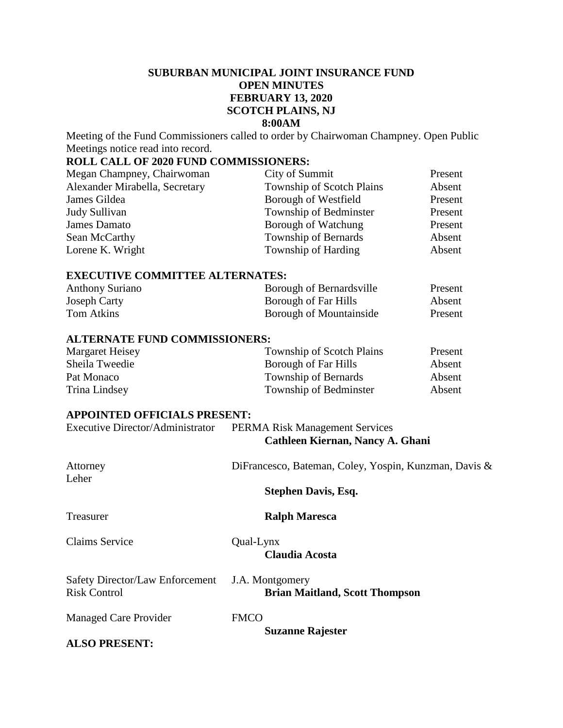# **SUBURBAN MUNICIPAL JOINT INSURANCE FUND OPEN MINUTES FEBRUARY 13, 2020 SCOTCH PLAINS, NJ 8:00AM**

Meeting of the Fund Commissioners called to order by Chairwoman Champney. Open Public Meetings notice read into record.

# **ROLL CALL OF 2020 FUND COMMISSIONERS:**

| Megan Champney, Chairwoman     | City of Summit                   | Present |
|--------------------------------|----------------------------------|---------|
| Alexander Mirabella, Secretary | <b>Township of Scotch Plains</b> | Absent  |
| James Gildea                   | Borough of Westfield             | Present |
| Judy Sullivan                  | Township of Bedminster           | Present |
| James Damato                   | Borough of Watchung              | Present |
| Sean McCarthy                  | <b>Township of Bernards</b>      | Absent  |
| Lorene K. Wright               | Township of Harding              | Absent  |

#### **EXECUTIVE COMMITTEE ALTERNATES:**

| <b>Anthony Suriano</b> | Borough of Bernardsville | Present |
|------------------------|--------------------------|---------|
| Joseph Carty           | Borough of Far Hills     | Absent  |
| Tom Atkins             | Borough of Mountainside  | Present |

#### **ALTERNATE FUND COMMISSIONERS:**

| Margaret Heisey | Township of Scotch Plains | Present |
|-----------------|---------------------------|---------|
| Sheila Tweedie  | Borough of Far Hills      | Absent  |
| Pat Monaco      | Township of Bernards      | Absent  |
| Trina Lindsey   | Township of Bedminster    | Absent  |

# **APPOINTED OFFICIALS PRESENT:**

| <b>Executive Director/Administrator</b>                | <b>PERMA Risk Management Services</b><br>Cathleen Kiernan, Nancy A. Ghani |
|--------------------------------------------------------|---------------------------------------------------------------------------|
| Attorney<br>Leher                                      | DiFrancesco, Bateman, Coley, Yospin, Kunzman, Davis &                     |
|                                                        | <b>Stephen Davis, Esq.</b>                                                |
| Treasurer                                              | <b>Ralph Maresca</b>                                                      |
| <b>Claims Service</b>                                  | Qual-Lynx<br><b>Claudia Acosta</b>                                        |
| Safety Director/Law Enforcement<br><b>Risk Control</b> | J.A. Montgomery<br><b>Brian Maitland, Scott Thompson</b>                  |
| <b>Managed Care Provider</b>                           | <b>FMCO</b><br><b>Suzanne Rajester</b>                                    |
| <b>ALSO PRESENT:</b>                                   |                                                                           |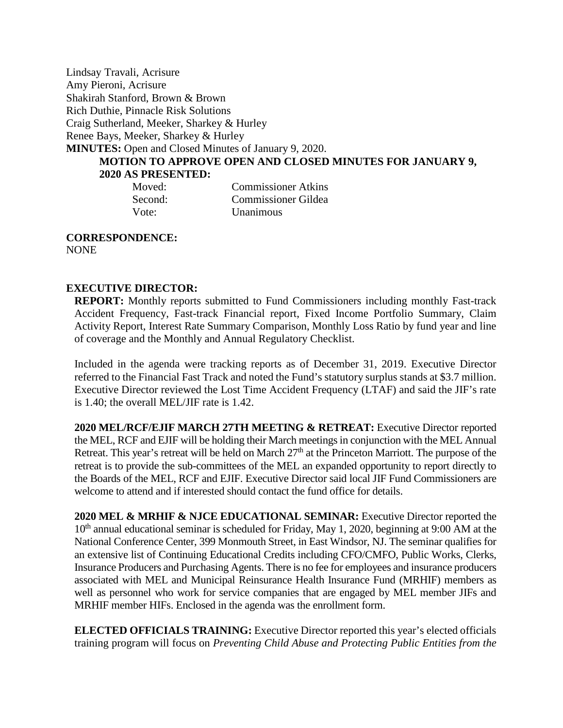Lindsay Travali, Acrisure Amy Pieroni, Acrisure Shakirah Stanford, Brown & Brown Rich Duthie, Pinnacle Risk Solutions Craig Sutherland, Meeker, Sharkey & Hurley Renee Bays, Meeker, Sharkey & Hurley **MINUTES:** Open and Closed Minutes of January 9, 2020. **MOTION TO APPROVE OPEN AND CLOSED MINUTES FOR JANUARY 9, 2020 AS PRESENTED:** Moved: Commissioner Atkins Second: Commissioner Gildea

Vote: Unanimous

**CORRESPONDENCE:**  NONE

# **EXECUTIVE DIRECTOR:**

**REPORT:** Monthly reports submitted to Fund Commissioners including monthly Fast-track Accident Frequency, Fast-track Financial report, Fixed Income Portfolio Summary, Claim Activity Report, Interest Rate Summary Comparison, Monthly Loss Ratio by fund year and line of coverage and the Monthly and Annual Regulatory Checklist.

Included in the agenda were tracking reports as of December 31, 2019. Executive Director referred to the Financial Fast Track and noted the Fund's statutory surplus stands at \$3.7 million. Executive Director reviewed the Lost Time Accident Frequency (LTAF) and said the JIF's rate is 1.40; the overall MEL/JIF rate is 1.42.

**2020 MEL/RCF/EJIF MARCH 27TH MEETING & RETREAT:** Executive Director reported the MEL, RCF and EJIF will be holding their March meetings in conjunction with the MEL Annual Retreat. This year's retreat will be held on March  $27<sup>th</sup>$  at the Princeton Marriott. The purpose of the retreat is to provide the sub-committees of the MEL an expanded opportunity to report directly to the Boards of the MEL, RCF and EJIF. Executive Director said local JIF Fund Commissioners are welcome to attend and if interested should contact the fund office for details.

**2020 MEL & MRHIF & NJCE EDUCATIONAL SEMINAR:** Executive Director reported the  $10<sup>th</sup>$  annual educational seminar is scheduled for Friday, May 1, 2020, beginning at 9:00 AM at the National Conference Center, 399 Monmouth Street, in East Windsor, NJ. The seminar qualifies for an extensive list of Continuing Educational Credits including CFO/CMFO, Public Works, Clerks, Insurance Producers and Purchasing Agents. There is no fee for employees and insurance producers associated with MEL and Municipal Reinsurance Health Insurance Fund (MRHIF) members as well as personnel who work for service companies that are engaged by MEL member JIFs and MRHIF member HIFs. Enclosed in the agenda was the enrollment form.

**ELECTED OFFICIALS TRAINING:** Executive Director reported this year's elected officials training program will focus on *Preventing Child Abuse and Protecting Public Entities from the*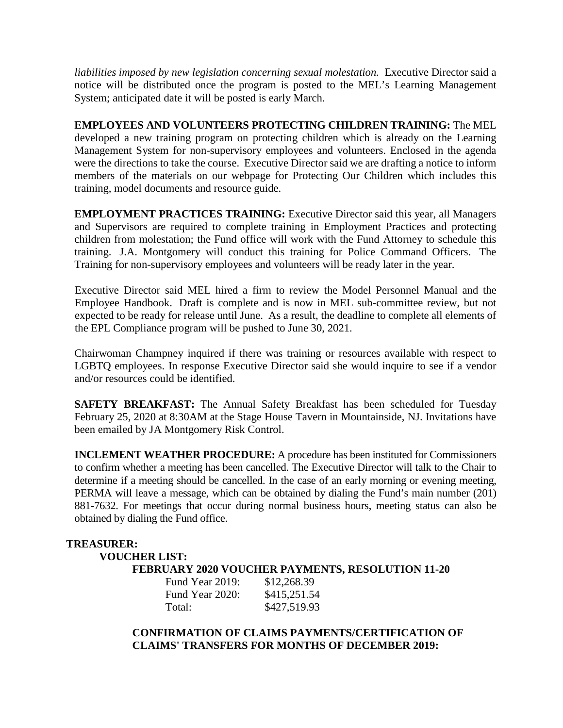*liabilities imposed by new legislation concerning sexual molestation.* Executive Director said a notice will be distributed once the program is posted to the MEL's Learning Management System; anticipated date it will be posted is early March.

**EMPLOYEES AND VOLUNTEERS PROTECTING CHILDREN TRAINING:** The MEL developed a new training program on protecting children which is already on the Learning Management System for non-supervisory employees and volunteers. Enclosed in the agenda were the directions to take the course. Executive Director said we are drafting a notice to inform members of the materials on our webpage for Protecting Our Children which includes this training, model documents and resource guide.

**EMPLOYMENT PRACTICES TRAINING:** Executive Director said this year, all Managers and Supervisors are required to complete training in Employment Practices and protecting children from molestation; the Fund office will work with the Fund Attorney to schedule this training. J.A. Montgomery will conduct this training for Police Command Officers. The Training for non-supervisory employees and volunteers will be ready later in the year.

Executive Director said MEL hired a firm to review the Model Personnel Manual and the Employee Handbook. Draft is complete and is now in MEL sub-committee review, but not expected to be ready for release until June. As a result, the deadline to complete all elements of the EPL Compliance program will be pushed to June 30, 2021.

Chairwoman Champney inquired if there was training or resources available with respect to LGBTQ employees. In response Executive Director said she would inquire to see if a vendor and/or resources could be identified.

**SAFETY BREAKFAST:** The Annual Safety Breakfast has been scheduled for Tuesday February 25, 2020 at 8:30AM at the Stage House Tavern in Mountainside, NJ. Invitations have been emailed by JA Montgomery Risk Control.

**INCLEMENT WEATHER PROCEDURE:** A procedure has been instituted for Commissioners to confirm whether a meeting has been cancelled. The Executive Director will talk to the Chair to determine if a meeting should be cancelled. In the case of an early morning or evening meeting, PERMA will leave a message, which can be obtained by dialing the Fund's main number (201) 881-7632. For meetings that occur during normal business hours, meeting status can also be obtained by dialing the Fund office.

# **TREASURER:**

# **VOUCHER LIST:**

**FEBRUARY 2020 VOUCHER PAYMENTS, RESOLUTION 11-20**

| Fund Year 2019: | \$12,268.39  |
|-----------------|--------------|
| Fund Year 2020: | \$415,251.54 |
| Total:          | \$427,519.93 |

**CONFIRMATION OF CLAIMS PAYMENTS/CERTIFICATION OF CLAIMS' TRANSFERS FOR MONTHS OF DECEMBER 2019:**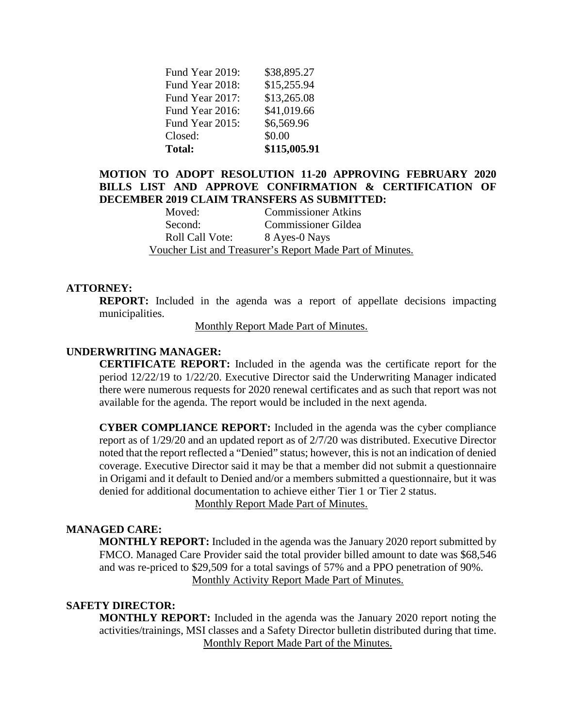| Fund Year 2019: | \$38,895.27  |
|-----------------|--------------|
| Fund Year 2018: | \$15,255.94  |
| Fund Year 2017: | \$13,265.08  |
| Fund Year 2016: | \$41,019.66  |
| Fund Year 2015: | \$6,569.96   |
| Closed:         | \$0.00       |
| <b>Total:</b>   | \$115,005.91 |

# **MOTION TO ADOPT RESOLUTION 11-20 APPROVING FEBRUARY 2020 BILLS LIST AND APPROVE CONFIRMATION & CERTIFICATION OF DECEMBER 2019 CLAIM TRANSFERS AS SUBMITTED:**

Moved: Commissioner Atkins Second: Commissioner Gildea Roll Call Vote: 8 Ayes-0 Nays Voucher List and Treasurer's Report Made Part of Minutes.

### **ATTORNEY:**

**REPORT:** Included in the agenda was a report of appellate decisions impacting municipalities.

Monthly Report Made Part of Minutes.

#### **UNDERWRITING MANAGER:**

**CERTIFICATE REPORT:** Included in the agenda was the certificate report for the period 12/22/19 to 1/22/20. Executive Director said the Underwriting Manager indicated there were numerous requests for 2020 renewal certificates and as such that report was not available for the agenda. The report would be included in the next agenda.

**CYBER COMPLIANCE REPORT:** Included in the agenda was the cyber compliance report as of 1/29/20 and an updated report as of 2/7/20 was distributed. Executive Director noted that the report reflected a "Denied" status; however, this is not an indication of denied coverage. Executive Director said it may be that a member did not submit a questionnaire in Origami and it default to Denied and/or a members submitted a questionnaire, but it was denied for additional documentation to achieve either Tier 1 or Tier 2 status.

Monthly Report Made Part of Minutes.

### **MANAGED CARE:**

**MONTHLY REPORT:** Included in the agenda was the January 2020 report submitted by FMCO. Managed Care Provider said the total provider billed amount to date was \$68,546 and was re-priced to \$29,509 for a total savings of 57% and a PPO penetration of 90%. Monthly Activity Report Made Part of Minutes.

#### **SAFETY DIRECTOR:**

**MONTHLY REPORT:** Included in the agenda was the January 2020 report noting the activities/trainings, MSI classes and a Safety Director bulletin distributed during that time. Monthly Report Made Part of the Minutes.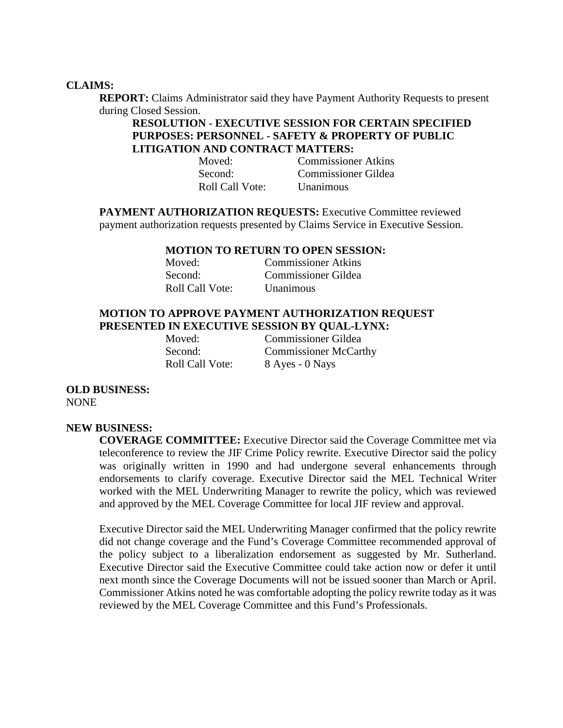#### **CLAIMS:**

**REPORT:** Claims Administrator said they have Payment Authority Requests to present during Closed Session.

# **RESOLUTION - EXECUTIVE SESSION FOR CERTAIN SPECIFIED PURPOSES: PERSONNEL - SAFETY & PROPERTY OF PUBLIC LITIGATION AND CONTRACT MATTERS:**

Moved: Commissioner Atkins Second: Commissioner Gildea Roll Call Vote: Unanimous

**PAYMENT AUTHORIZATION REQUESTS:** Executive Committee reviewed payment authorization requests presented by Claims Service in Executive Session.

#### **MOTION TO RETURN TO OPEN SESSION:**

| Moved:          | <b>Commissioner Atkins</b> |
|-----------------|----------------------------|
| Second:         | Commissioner Gildea        |
| Roll Call Vote: | <b>Unanimous</b>           |

### **MOTION TO APPROVE PAYMENT AUTHORIZATION REQUEST PRESENTED IN EXECUTIVE SESSION BY QUAL-LYNX:**

Moved: Commissioner Gildea Second: Commissioner McCarthy Roll Call Vote: 8 Ayes - 0 Nays

**OLD BUSINESS:** 

NONE

#### **NEW BUSINESS:**

**COVERAGE COMMITTEE:** Executive Director said the Coverage Committee met via teleconference to review the JIF Crime Policy rewrite. Executive Director said the policy was originally written in 1990 and had undergone several enhancements through endorsements to clarify coverage. Executive Director said the MEL Technical Writer worked with the MEL Underwriting Manager to rewrite the policy, which was reviewed and approved by the MEL Coverage Committee for local JIF review and approval.

Executive Director said the MEL Underwriting Manager confirmed that the policy rewrite did not change coverage and the Fund's Coverage Committee recommended approval of the policy subject to a liberalization endorsement as suggested by Mr. Sutherland. Executive Director said the Executive Committee could take action now or defer it until next month since the Coverage Documents will not be issued sooner than March or April. Commissioner Atkins noted he was comfortable adopting the policy rewrite today as it was reviewed by the MEL Coverage Committee and this Fund's Professionals.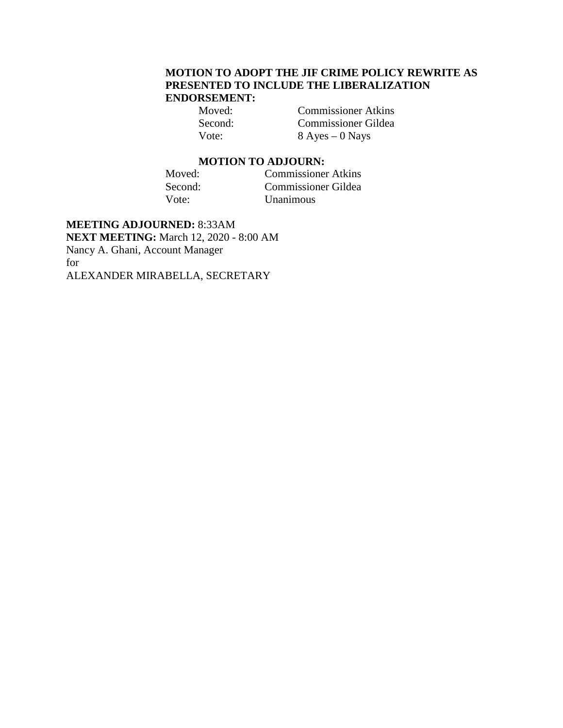# **MOTION TO ADOPT THE JIF CRIME POLICY REWRITE AS PRESENTED TO INCLUDE THE LIBERALIZATION ENDORSEMENT:**

Moved: Commissioner Atkins Second: Commissioner Gildea Vote: 8 Ayes – 0 Nays

# **MOTION TO ADJOURN:**<br> **Moved:** Commissioner

Commissioner Atkins Second: Commissioner Gildea<br>Vote: Unanimous Unanimous

**MEETING ADJOURNED:** 8:33AM **NEXT MEETING:** March 12, 2020 - 8:00 AM Nancy A. Ghani, Account Manager for ALEXANDER MIRABELLA, SECRETARY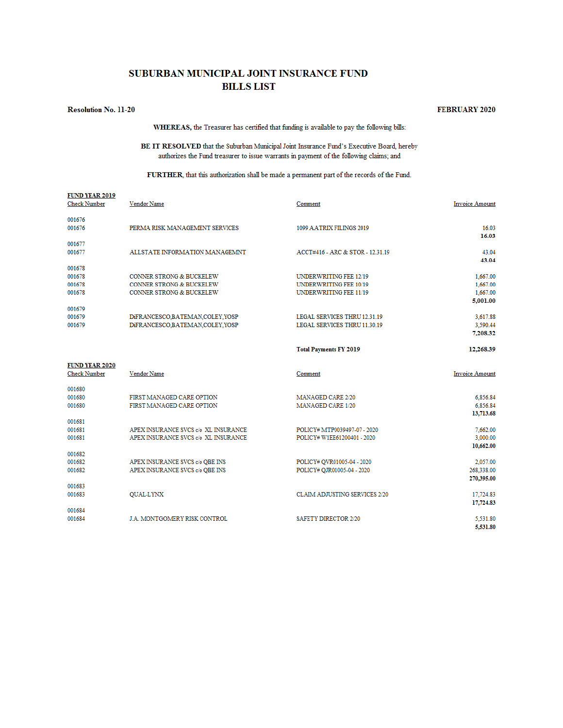## SUBURBAN MUNICIPAL JOINT INSURANCE FUND **BILLS LIST**

#### **Resolution No. 11-20**

#### **FEBRUARY 2020**

WHEREAS, the Treasurer has certified that funding is available to pay the following bills:

BE IT RESOLVED that the Suburban Municipal Joint Insurance Fund's Executive Board, hereby authorizes the Fund treasurer to issue warrants in payment of the following claims; and

FURTHER, that this authorization shall be made a permanent part of the records of the Fund.

| <b>FUND YEAR 2019</b><br><b>Check Number</b> | Vendor Name                                                                                                       | Comment                                                                                         | <b>Invoice Amount</b>                        |
|----------------------------------------------|-------------------------------------------------------------------------------------------------------------------|-------------------------------------------------------------------------------------------------|----------------------------------------------|
| 001676<br>001676                             | PERMA RISK MANAGEMENT SERVICES                                                                                    | 1099 AATRIX FILINGS 2019                                                                        | 16.03<br>16.03                               |
| 001677<br>001677                             | ALLSTATE INFORMATION MANAGEMNT                                                                                    | ACCT#416 - ARC & STOR - 12.31.19                                                                | 43.04<br>43.04                               |
| 001678<br>001678<br>001678<br>001678         | <b>CONNER STRONG &amp; BUCKELEW</b><br><b>CONNER STRONG &amp; BUCKELEW</b><br><b>CONNER STRONG &amp; BUCKELEW</b> | <b>UNDERWRITING FEE 12/19</b><br><b>UNDERWRITING FEE 10/19</b><br><b>UNDERWRITING FEE 11/19</b> | 1,667.00<br>1,667.00<br>1,667.00<br>5,001.00 |
| 001679<br>001679<br>001679                   | DiFRANCESCO,BATEMAN,COLEY,YOSP<br>DiFRANCESCO,BATEMAN,COLEY,YOSP                                                  | <b>LEGAL SERVICES THRU 12.31.19</b><br>LEGAL SERVICES THRU 11.30.19                             | 3,617.88<br>3,590.44<br>7,208.32             |
|                                              |                                                                                                                   | <b>Total Payments FY 2019</b>                                                                   | 12,268.39                                    |
| <b>FUND YEAR 2020</b><br><b>Check Number</b> | Vendor Name                                                                                                       | Comment                                                                                         | <b>Invoice Amount</b>                        |
| 001680<br>001680<br>001680                   | FIRST MANAGED CARE OPTION<br>FIRST MANAGED CARE OPTION                                                            | MANAGED CARE 2/20<br>MANAGED CARE 1/20                                                          | 6,856.84<br>6,856.84<br>13,713.68            |
| 001681<br>001681<br>001681                   | APEX INSURANCE SVCS c/o XL INSURANCE<br>APEX INSURANCE SVCS c/o XL INSURANCE                                      | POLICY# MTP0039497-07 - 2020<br>POLICY# W1EE61200401 - 2020                                     | 7.662.00<br>3.000.00<br>10,662.00            |
| 001682<br>001682<br>001682                   | APEX INSURANCE SVCS c/o QBE INS<br>APEX INSURANCE SVCS c/o QBE INS                                                | POLICY# OVR01005-04 - 2020<br>POLICY# QJR01005-04 - 2020                                        | 2,057.00<br>268,338.00<br>270,395.00         |
| 001683<br>001683                             | <b>OUAL-LYNX</b>                                                                                                  | <b>CLAIM ADJUSTING SERVICES 2/20</b>                                                            | 17,724.83<br>17,724.83                       |
| 001684<br>001684                             | <b>J.A. MONTGOMERY RISK CONTROL</b>                                                                               | <b>SAFETY DIRECTOR 2/20</b>                                                                     | 5.531.80<br>5,531.80                         |